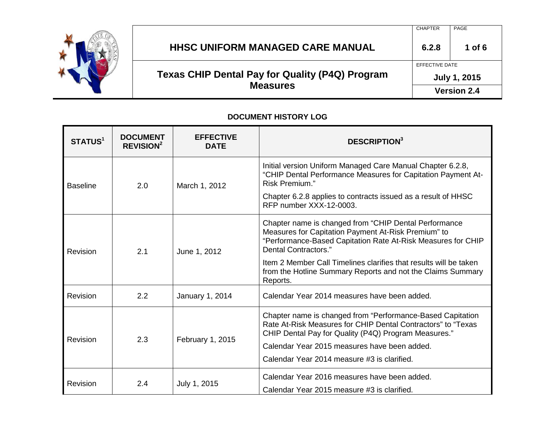

**Measures** 

**July 1, 2015**

**Version 2.4**

#### **DOCUMENT HISTORY LOG**

| <b>STATUS<sup>1</sup></b> | <b>DOCUMENT</b><br><b>REVISION<sup>2</sup></b> | <b>EFFECTIVE</b><br><b>DATE</b> | <b>DESCRIPTION</b> <sup>3</sup>                                                                                                                                                                                                                                                                                                                      |  |
|---------------------------|------------------------------------------------|---------------------------------|------------------------------------------------------------------------------------------------------------------------------------------------------------------------------------------------------------------------------------------------------------------------------------------------------------------------------------------------------|--|
| <b>Baseline</b>           | 2.0                                            | March 1, 2012                   | Initial version Uniform Managed Care Manual Chapter 6.2.8,<br>"CHIP Dental Performance Measures for Capitation Payment At-<br>Risk Premium."                                                                                                                                                                                                         |  |
|                           |                                                |                                 | Chapter 6.2.8 applies to contracts issued as a result of HHSC<br>RFP number XXX-12-0003.                                                                                                                                                                                                                                                             |  |
| Revision                  | 2.1                                            | June 1, 2012                    | Chapter name is changed from "CHIP Dental Performance<br>Measures for Capitation Payment At-Risk Premium" to<br>"Performance-Based Capitation Rate At-Risk Measures for CHIP<br>Dental Contractors."<br>Item 2 Member Call Timelines clarifies that results will be taken<br>from the Hotline Summary Reports and not the Claims Summary<br>Reports. |  |
| Revision                  | 2.2                                            | January 1, 2014                 | Calendar Year 2014 measures have been added.                                                                                                                                                                                                                                                                                                         |  |
| Revision                  | 2.3                                            | February 1, 2015                | Chapter name is changed from "Performance-Based Capitation<br>Rate At-Risk Measures for CHIP Dental Contractors" to "Texas<br>CHIP Dental Pay for Quality (P4Q) Program Measures."<br>Calendar Year 2015 measures have been added.<br>Calendar Year 2014 measure #3 is clarified.                                                                    |  |
| Revision                  |                                                |                                 | Calendar Year 2016 measures have been added.                                                                                                                                                                                                                                                                                                         |  |
|                           | 2.4                                            | July 1, 2015                    | Calendar Year 2015 measure #3 is clarified.                                                                                                                                                                                                                                                                                                          |  |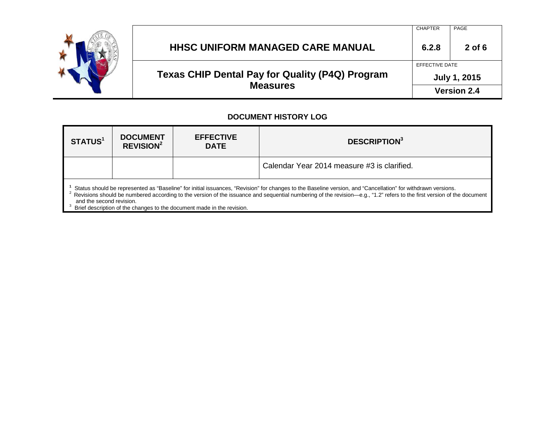

**Version 2.4**

#### **DOCUMENT HISTORY LOG**

| STATUS <sup>1</sup>                                                                                                                                                                                                                                                                                                                                                                                                                                       | <b>DOCUMENT</b><br><b>REVISION<sup>2</sup></b> | <b>EFFECTIVE</b><br><b>DATE</b> | <b>DESCRIPTION</b> <sup>3</sup>             |  |
|-----------------------------------------------------------------------------------------------------------------------------------------------------------------------------------------------------------------------------------------------------------------------------------------------------------------------------------------------------------------------------------------------------------------------------------------------------------|------------------------------------------------|---------------------------------|---------------------------------------------|--|
|                                                                                                                                                                                                                                                                                                                                                                                                                                                           |                                                |                                 | Calendar Year 2014 measure #3 is clarified. |  |
| Status should be represented as "Baseline" for initial issuances, "Revision" for changes to the Baseline version, and "Cancellation" for withdrawn versions.<br><sup>2</sup> Revisions should be numbered according to the version of the issuance and sequential numbering of the revision—e.g., "1.2" refers to the first version of the document<br>and the second revision.<br>Brief description of the changes to the document made in the revision. |                                                |                                 |                                             |  |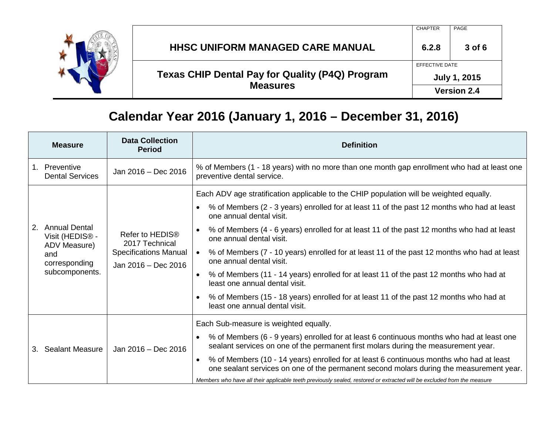

### CHAPTER PAGE **HHSC UNIFORM MANAGED CARE MANUAL 6.2.8 3 of 6 Texas CHIP Dental Pay for Quality (P4Q) Program Measures**  EFFECTIVE DATE **July 1, 2015 Version 2.4**

### **Calendar Year 2016 (January 1, 2016 – December 31, 2016)**

|    | <b>Measure</b>                                                                                                | <b>Data Collection</b><br><b>Period</b>                                                              | <b>Definition</b>                                                                                                                                                                                                                                                                                                                                                                                                                                                                                                                                                                                                                                                                                                                                                                  |
|----|---------------------------------------------------------------------------------------------------------------|------------------------------------------------------------------------------------------------------|------------------------------------------------------------------------------------------------------------------------------------------------------------------------------------------------------------------------------------------------------------------------------------------------------------------------------------------------------------------------------------------------------------------------------------------------------------------------------------------------------------------------------------------------------------------------------------------------------------------------------------------------------------------------------------------------------------------------------------------------------------------------------------|
|    | 1. Preventive<br><b>Dental Services</b>                                                                       | Jan 2016 - Dec 2016                                                                                  | % of Members (1 - 18 years) with no more than one month gap enrollment who had at least one<br>preventive dental service.                                                                                                                                                                                                                                                                                                                                                                                                                                                                                                                                                                                                                                                          |
| 2. | <b>Annual Dental</b><br>Visit (HEDIS <sup>®</sup> -<br>ADV Measure)<br>and<br>corresponding<br>subcomponents. | Refer to HEDIS <sup>®</sup><br>2017 Technical<br><b>Specifications Manual</b><br>Jan 2016 - Dec 2016 | Each ADV age stratification applicable to the CHIP population will be weighted equally.<br>% of Members (2 - 3 years) enrolled for at least 11 of the past 12 months who had at least<br>$\bullet$<br>one annual dental visit.<br>% of Members (4 - 6 years) enrolled for at least 11 of the past 12 months who had at least<br>one annual dental visit.<br>% of Members (7 - 10 years) enrolled for at least 11 of the past 12 months who had at least<br>$\bullet$<br>one annual dental visit.<br>% of Members (11 - 14 years) enrolled for at least 11 of the past 12 months who had at<br>$\bullet$<br>least one annual dental visit.<br>% of Members (15 - 18 years) enrolled for at least 11 of the past 12 months who had at<br>$\bullet$<br>least one annual dental visit. |
|    | Jan 2016 - Dec 2016<br>3. Sealant Measure                                                                     |                                                                                                      | Each Sub-measure is weighted equally.<br>% of Members (6 - 9 years) enrolled for at least 6 continuous months who had at least one<br>$\bullet$<br>sealant services on one of the permanent first molars during the measurement year.<br>% of Members (10 - 14 years) enrolled for at least 6 continuous months who had at least<br>$\bullet$<br>one sealant services on one of the permanent second molars during the measurement year.<br>Members who have all their applicable teeth previously sealed, restored or extracted will be excluded from the measure                                                                                                                                                                                                                 |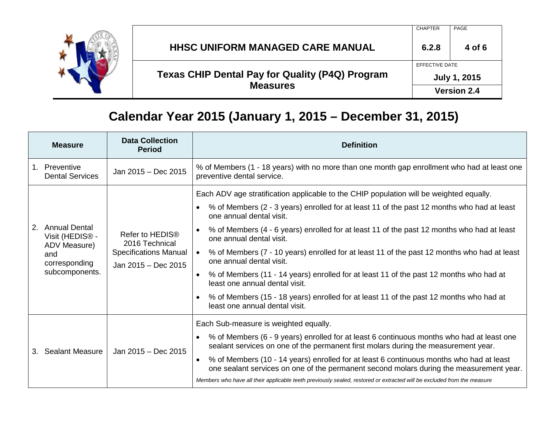

### CHAPTER PAGE **HHSC UNIFORM MANAGED CARE MANUAL**  $\begin{array}{|c|c|c|c|c|c|} \hline \end{array}$  **<b>6.2.8**  $\begin{array}{|c|c|c|c|c|} \hline \end{array}$  4 of 6 **Texas CHIP Dental Pay for Quality (P4Q) Program Measures**  EFFECTIVE DATE **July 1, 2015 Version 2.4**

### **Calendar Year 2015 (January 1, 2015 – December 31, 2015)**

|    | <b>Measure</b>                                                                                                | <b>Data Collection</b><br><b>Period</b>                                                              | <b>Definition</b>                                                                                                                                                                               |
|----|---------------------------------------------------------------------------------------------------------------|------------------------------------------------------------------------------------------------------|-------------------------------------------------------------------------------------------------------------------------------------------------------------------------------------------------|
|    | 1. Preventive<br><b>Dental Services</b>                                                                       | Jan 2015 - Dec 2015                                                                                  | % of Members (1 - 18 years) with no more than one month gap enrollment who had at least one<br>preventive dental service.                                                                       |
|    | <b>Annual Dental</b><br>Visit (HEDIS <sup>®</sup> -<br>ADV Measure)<br>and<br>corresponding<br>subcomponents. | Refer to HEDIS <sup>®</sup><br>2016 Technical<br><b>Specifications Manual</b><br>Jan 2015 - Dec 2015 | Each ADV age stratification applicable to the CHIP population will be weighted equally.                                                                                                         |
|    |                                                                                                               |                                                                                                      | % of Members (2 - 3 years) enrolled for at least 11 of the past 12 months who had at least<br>$\bullet$<br>one annual dental visit.                                                             |
| 2. |                                                                                                               |                                                                                                      | % of Members (4 - 6 years) enrolled for at least 11 of the past 12 months who had at least<br>$\bullet$<br>one annual dental visit.                                                             |
|    |                                                                                                               |                                                                                                      | % of Members (7 - 10 years) enrolled for at least 11 of the past 12 months who had at least<br>one annual dental visit.                                                                         |
|    |                                                                                                               |                                                                                                      | % of Members (11 - 14 years) enrolled for at least 11 of the past 12 months who had at<br>$\bullet$<br>least one annual dental visit.                                                           |
|    |                                                                                                               |                                                                                                      | % of Members (15 - 18 years) enrolled for at least 11 of the past 12 months who had at<br>$\bullet$<br>least one annual dental visit.                                                           |
|    | <b>Sealant Measure</b>                                                                                        | Jan 2015 - Dec 2015                                                                                  | Each Sub-measure is weighted equally.                                                                                                                                                           |
| 3. |                                                                                                               |                                                                                                      | % of Members (6 - 9 years) enrolled for at least 6 continuous months who had at least one<br>$\bullet$<br>sealant services on one of the permanent first molars during the measurement year.    |
|    |                                                                                                               |                                                                                                      | % of Members (10 - 14 years) enrolled for at least 6 continuous months who had at least<br>$\bullet$<br>one sealant services on one of the permanent second molars during the measurement year. |
|    |                                                                                                               |                                                                                                      | Members who have all their applicable teeth previously sealed, restored or extracted will be excluded from the measure                                                                          |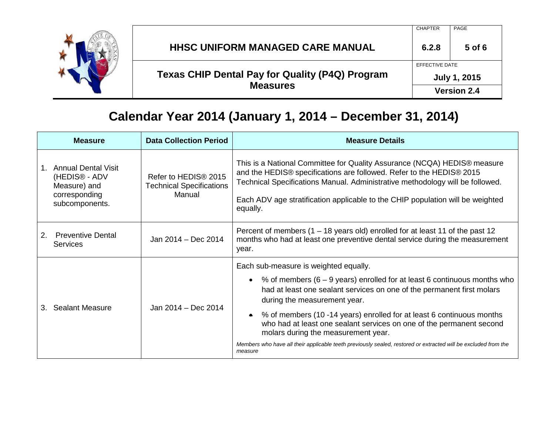

### CHAPTER PAGE **HHSC UNIFORM MANAGED CARE MANUAL 6.2.8 5 of 6 Texas CHIP Dental Pay for Quality (P4Q) Program Measures**  EFFECTIVE DATE **July 1, 2015 Version 2.4**

# **Calendar Year 2014 (January 1, 2014 – December 31, 2014)**

|    | <b>Measure</b>                                                                                             | <b>Data Collection Period</b>                                                 | <b>Measure Details</b>                                                                                                                                                                                                                                                                                                                                                                                                                                                                                                                                            |
|----|------------------------------------------------------------------------------------------------------------|-------------------------------------------------------------------------------|-------------------------------------------------------------------------------------------------------------------------------------------------------------------------------------------------------------------------------------------------------------------------------------------------------------------------------------------------------------------------------------------------------------------------------------------------------------------------------------------------------------------------------------------------------------------|
|    | <b>Annual Dental Visit</b><br>(HEDIS <sup>®</sup> - ADV<br>Measure) and<br>corresponding<br>subcomponents. | Refer to HEDIS <sup>®</sup> 2015<br><b>Technical Specifications</b><br>Manual | This is a National Committee for Quality Assurance (NCQA) HEDIS <sup>®</sup> measure<br>and the HEDIS® specifications are followed. Refer to the HEDIS® 2015<br>Technical Specifications Manual. Administrative methodology will be followed.<br>Each ADV age stratification applicable to the CHIP population will be weighted<br>equally.                                                                                                                                                                                                                       |
| 2. | <b>Preventive Dental</b><br><b>Services</b>                                                                | Jan 2014 - Dec 2014                                                           | Percent of members $(1 - 18$ years old) enrolled for at least 11 of the past 12<br>months who had at least one preventive dental service during the measurement<br>year.                                                                                                                                                                                                                                                                                                                                                                                          |
| 3. | <b>Sealant Measure</b>                                                                                     | Jan 2014 - Dec 2014                                                           | Each sub-measure is weighted equally.<br>• % of members $(6 - 9$ years) enrolled for at least 6 continuous months who<br>had at least one sealant services on one of the permanent first molars<br>during the measurement year.<br>% of members (10 -14 years) enrolled for at least 6 continuous months<br>$\bullet$<br>who had at least one sealant services on one of the permanent second<br>molars during the measurement year.<br>Members who have all their applicable teeth previously sealed, restored or extracted will be excluded from the<br>measure |